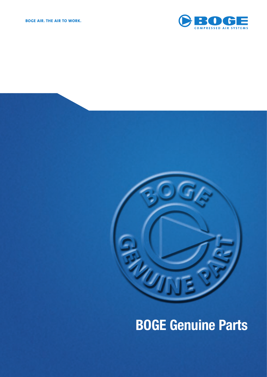



# **BOGE Genuine Parts**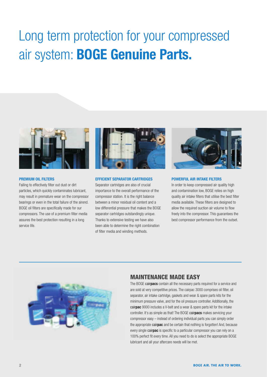# Long term protection for your compressed air system: **BOGE Genuine Parts.**



### **PREMIUM OIL FILTERS**

Failing to effectively filter out dust or dirt particles, which quickly contaminates lubricant, may result in premature wear on the compressor bearings or even in the total failure of the airend. BOGE oil filters are specifically made for our compressors. The use of a premium filter media assures the best protection resulting in a long service life.



#### **EFFICIENT SEPARATOR CARTRIDGES**

Separator cartridges are also of crucial importance to the overall performance of the compressor station. It is the right balance between a minor residual oil content and a low differential pressure that makes the BOGE separator cartridges outstandingly unique. Thanks to extensive testing we have also been able to determine the right combination of filter media and winding methods.



#### **POWERFUL AIR INTAKE FILTERS**

In order to keep compressed air quality high and contamination low, BOGE relies on high quality air intake filters that utilise the best filter media available. These filters are designed to allow the required suction air volume to flow freely into the compressor. This guarantees the best compressor performance from the outset.



# **MAINTENANCE MADE EASY**

The BOGE cair**pacs** contain all the necessary parts required for a service and are sold at very competitive prices. The cairpac 3000 comprises oil filter, oil separator, air intake cartridge, gaskets and wear & spare parts kits for the minimum pressure valve, and for the oil pressure controller. Additionally, the cair**pac** 9000 includes a V-belt and a wear & spare parts kit for the intake controller. It's as simple as that! The BOGE cair**pacs** makes servicing your compressor easy – instead of ordering individual parts you can simply order the appropriate cair**pac** and be certain that nothing is forgotten! And, because every single cairpac is specific to a particular compressor you can rely on a 100% perfect fit every time. All you need to do is select the appropriate BOGE lubricant and all your aftercare needs will be met.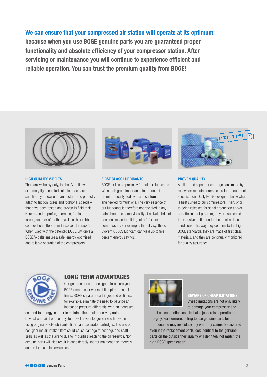## **We can ensure that your compressed air station will operate at its optimum:**

**because when you use BOGE genuine parts you are guaranteed proper**  functionality and absolute efficiency of your compressor station. After servicing or maintenance you will continue to experience efficient and **reliable operation. You can trust the premium quality from BOGE!**



#### **HIGH QUALITY V-BELTS**

The narrow, heavy duty, toothed V-belts with extremely tight longitudinal tolerances are supplied by renowned manufacturers to perfectly adapt to friction losses and rotational speeds – that have been tested and proven in field trials. Here again the profile, tolerance, friction losses, number of teeth as well as their rubber composition differs from those ..off the rack". When used with the patented BOGE GM drive all BOGE V-belts ensure a safe, energy optimised and reliable operation of the compressors.



#### **FIRST CLASS LUBRICANTS**

BOGE insists on precisely formulated lubricants. We attach great importance to the use of premium quality additives and custom engineered formulations. The very essence of our lubricants is therefore not revealed in any data sheet: the same viscosity of a rival lubricant does not mean that it is "suited" for our compressors. For example, the fully synthetic Syprem 8000S lubricant can yield up to five percent energy savings.



#### **PROVEN QUALITY**

All filter and separator cartridges are made by renowned manufacturers according to our strict specifications. Only BOGE designers know what is best suited to our compressors. Then, prior to being released for serial production and/or our aftermarket program, they are subjected to extensive testing under the most arduous conditions. This way they conform to the high BOGE standards, they are made of first class materials, and they are continually monitored for quality assurance.



# **LONG TERM ADVANTAGES**

Our genuine parts are designed to ensure your BOGE compressor works at its optimum at all times. BOGE separator cartridges and oil filters. for example, eliminate the need to balance an increased pressure differential with an increased

demand for energy in order to maintain the required delivery output. Downstream air treatment systems will have a longer service life when using original BOGE lubricants, filters and separator cartridges. The use of non-genuine air intake filters could cause damage to bearings and shaft seals as well as the airend due to impurities reaching the oil reservoir. Non genuine parts will also result in considerably shorter maintenance intervals and an increase in service costs.



## **BEWARE OF CHEAP IMITATIONS**

Cheap imitations are not only likely to damage your compressor and

entail consequential costs but also jeopardise operational integrity. Furthermore, failing to use genuine parts for maintenance may invalidate any warranty claims. Be assured even if the replacement parts look identical to the genuine parts on the outside their quality will definitely not match the high BOGE specification!